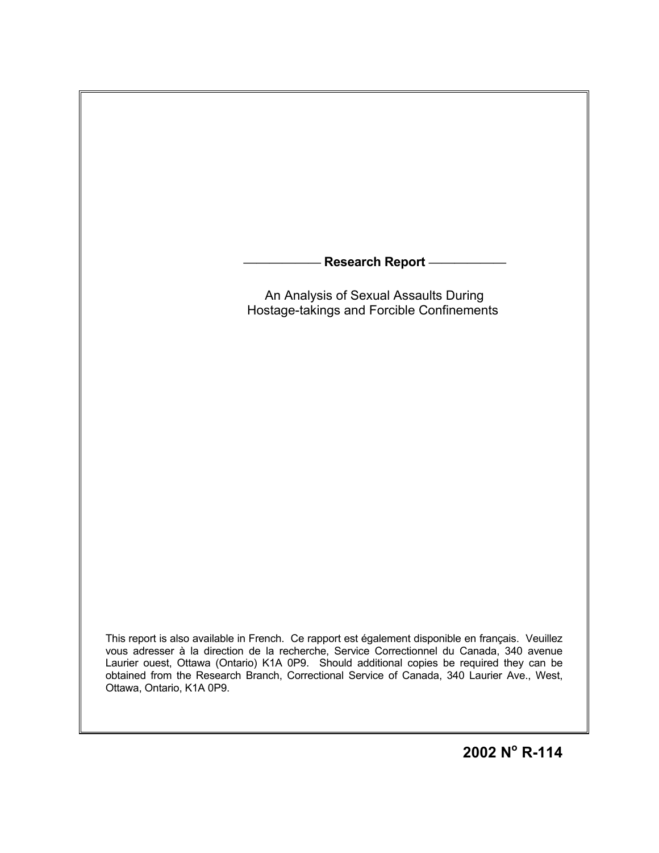

This report is also available in French. Ce rapport est également disponible en français. Veuillez vous adresser à la direction de la recherche, Service Correctionnel du Canada, 340 avenue Laurier ouest, Ottawa (Ontario) K1A 0P9. Should additional copies be required they can be obtained from the Research Branch, Correctional Service of Canada, 340 Laurier Ave., West, Ottawa, Ontario, K1A 0P9.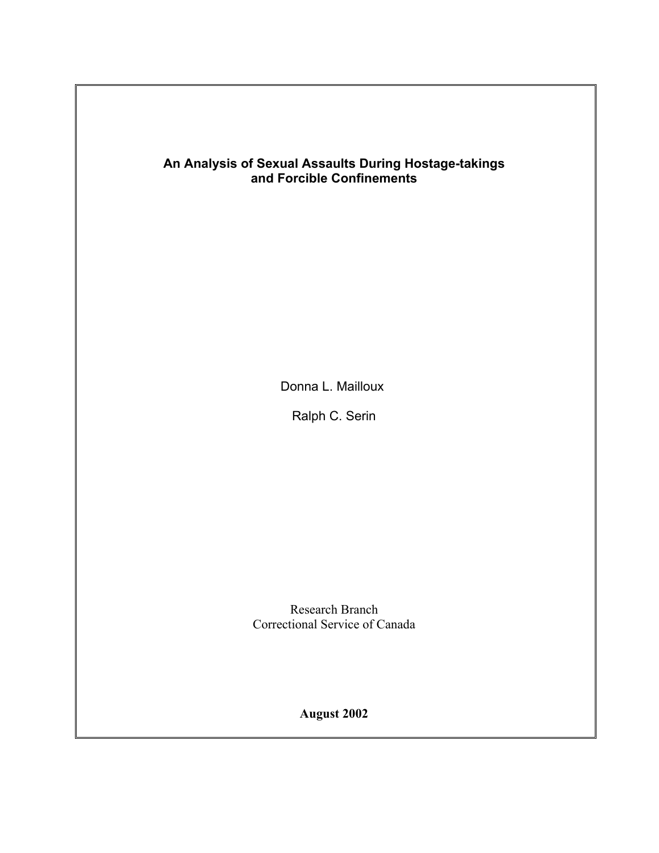## **An Analysis of Sexual Assaults During Hostage-takings and Forcible Confinements**

Donna L. Mailloux

Ralph C. Serin

Research Branch Correctional Service of Canada

**August 2002**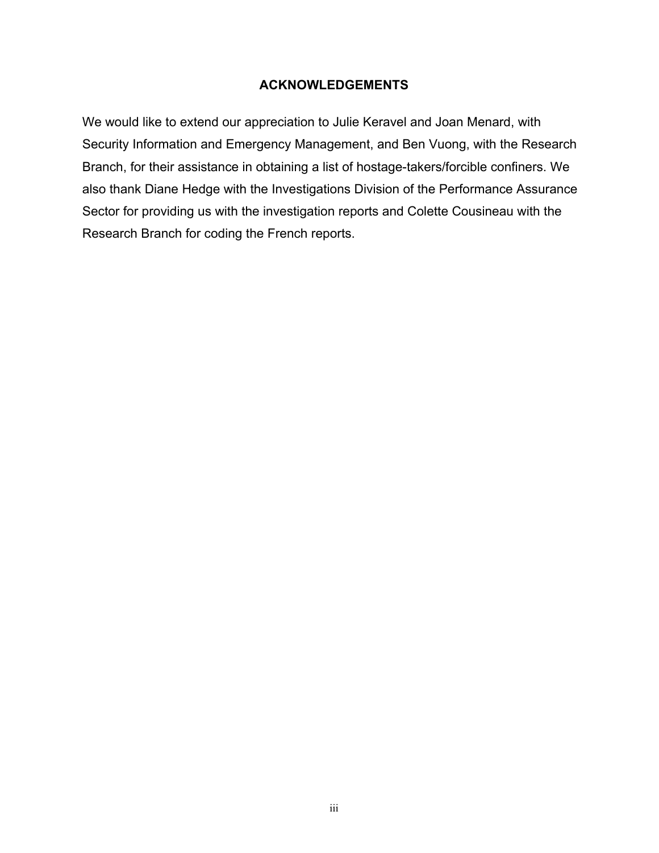#### **ACKNOWLEDGEMENTS**

We would like to extend our appreciation to Julie Keravel and Joan Menard, with Security Information and Emergency Management, and Ben Vuong, with the Research Branch, for their assistance in obtaining a list of hostage-takers/forcible confiners. We also thank Diane Hedge with the Investigations Division of the Performance Assurance Sector for providing us with the investigation reports and Colette Cousineau with the Research Branch for coding the French reports.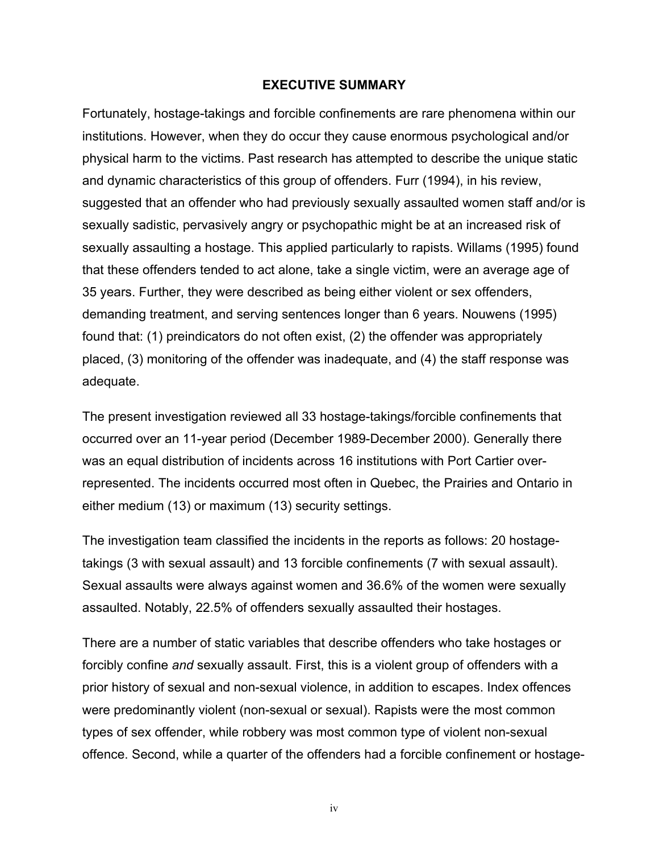#### **EXECUTIVE SUMMARY**

Fortunately, hostage-takings and forcible confinements are rare phenomena within our institutions. However, when they do occur they cause enormous psychological and/or physical harm to the victims. Past research has attempted to describe the unique static and dynamic characteristics of this group of offenders. Furr (1994), in his review, suggested that an offender who had previously sexually assaulted women staff and/or is sexually sadistic, pervasively angry or psychopathic might be at an increased risk of sexually assaulting a hostage. This applied particularly to rapists. Willams (1995) found that these offenders tended to act alone, take a single victim, were an average age of 35 years. Further, they were described as being either violent or sex offenders, demanding treatment, and serving sentences longer than 6 years. Nouwens (1995) found that: (1) preindicators do not often exist, (2) the offender was appropriately placed, (3) monitoring of the offender was inadequate, and (4) the staff response was adequate.

The present investigation reviewed all 33 hostage-takings/forcible confinements that occurred over an 11-year period (December 1989-December 2000). Generally there was an equal distribution of incidents across 16 institutions with Port Cartier overrepresented. The incidents occurred most often in Quebec, the Prairies and Ontario in either medium (13) or maximum (13) security settings.

The investigation team classified the incidents in the reports as follows: 20 hostagetakings (3 with sexual assault) and 13 forcible confinements (7 with sexual assault). Sexual assaults were always against women and 36.6% of the women were sexually assaulted. Notably, 22.5% of offenders sexually assaulted their hostages.

There are a number of static variables that describe offenders who take hostages or forcibly confine *and* sexually assault. First, this is a violent group of offenders with a prior history of sexual and non-sexual violence, in addition to escapes. Index offences were predominantly violent (non-sexual or sexual). Rapists were the most common types of sex offender, while robbery was most common type of violent non-sexual offence. Second, while a quarter of the offenders had a forcible confinement or hostage-

iv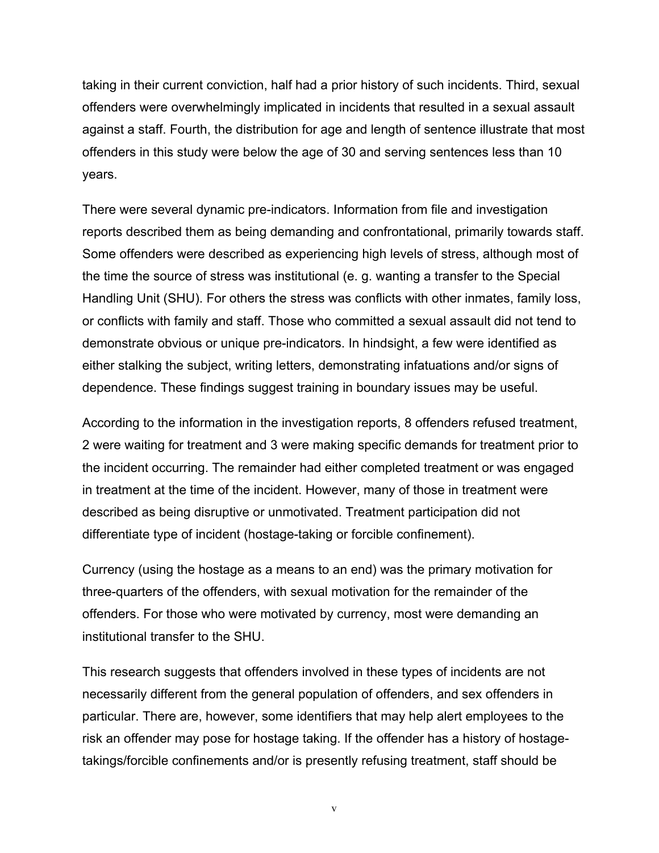taking in their current conviction, half had a prior history of such incidents. Third, sexual offenders were overwhelmingly implicated in incidents that resulted in a sexual assault against a staff. Fourth, the distribution for age and length of sentence illustrate that most offenders in this study were below the age of 30 and serving sentences less than 10 years.

There were several dynamic pre-indicators. Information from file and investigation reports described them as being demanding and confrontational, primarily towards staff. Some offenders were described as experiencing high levels of stress, although most of the time the source of stress was institutional (e. g. wanting a transfer to the Special Handling Unit (SHU). For others the stress was conflicts with other inmates, family loss, or conflicts with family and staff. Those who committed a sexual assault did not tend to demonstrate obvious or unique pre-indicators. In hindsight, a few were identified as either stalking the subject, writing letters, demonstrating infatuations and/or signs of dependence. These findings suggest training in boundary issues may be useful.

According to the information in the investigation reports, 8 offenders refused treatment, 2 were waiting for treatment and 3 were making specific demands for treatment prior to the incident occurring. The remainder had either completed treatment or was engaged in treatment at the time of the incident. However, many of those in treatment were described as being disruptive or unmotivated. Treatment participation did not differentiate type of incident (hostage-taking or forcible confinement).

Currency (using the hostage as a means to an end) was the primary motivation for three-quarters of the offenders, with sexual motivation for the remainder of the offenders. For those who were motivated by currency, most were demanding an institutional transfer to the SHU.

This research suggests that offenders involved in these types of incidents are not necessarily different from the general population of offenders, and sex offenders in particular. There are, however, some identifiers that may help alert employees to the risk an offender may pose for hostage taking. If the offender has a history of hostagetakings/forcible confinements and/or is presently refusing treatment, staff should be

v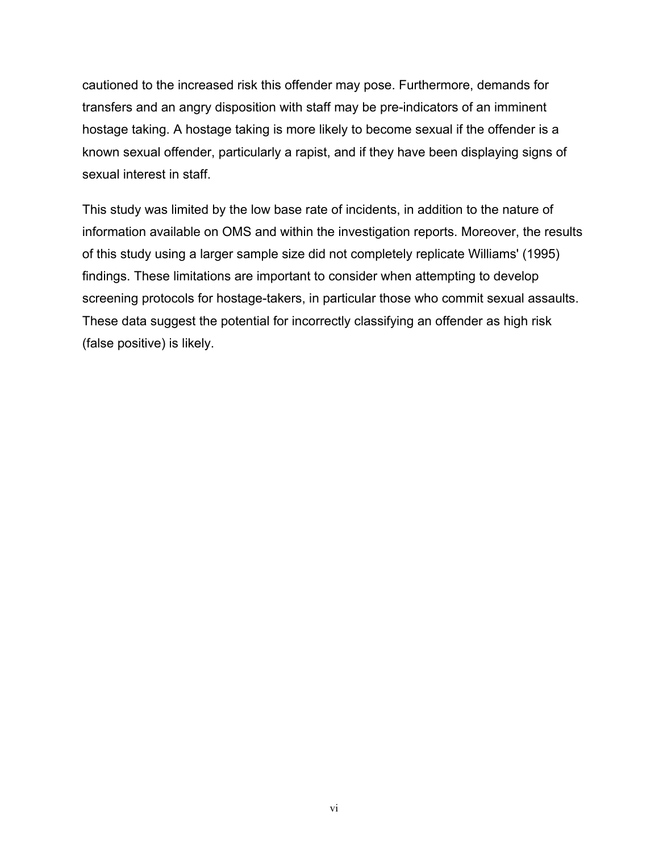cautioned to the increased risk this offender may pose. Furthermore, demands for transfers and an angry disposition with staff may be pre-indicators of an imminent hostage taking. A hostage taking is more likely to become sexual if the offender is a known sexual offender, particularly a rapist, and if they have been displaying signs of sexual interest in staff.

This study was limited by the low base rate of incidents, in addition to the nature of information available on OMS and within the investigation reports. Moreover, the results of this study using a larger sample size did not completely replicate Williams' (1995) findings. These limitations are important to consider when attempting to develop screening protocols for hostage-takers, in particular those who commit sexual assaults. These data suggest the potential for incorrectly classifying an offender as high risk (false positive) is likely.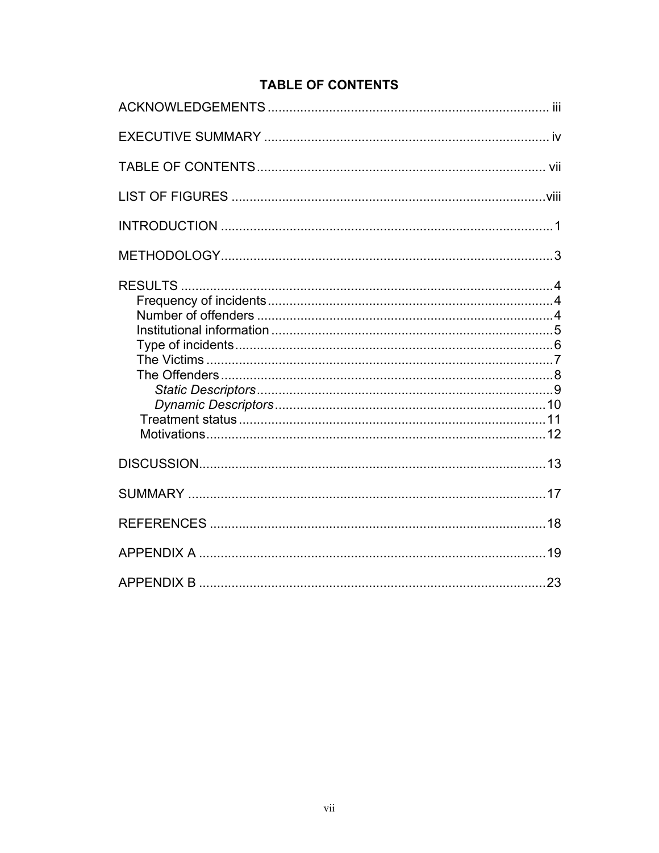## <span id="page-6-0"></span>**TABLE OF CONTENTS**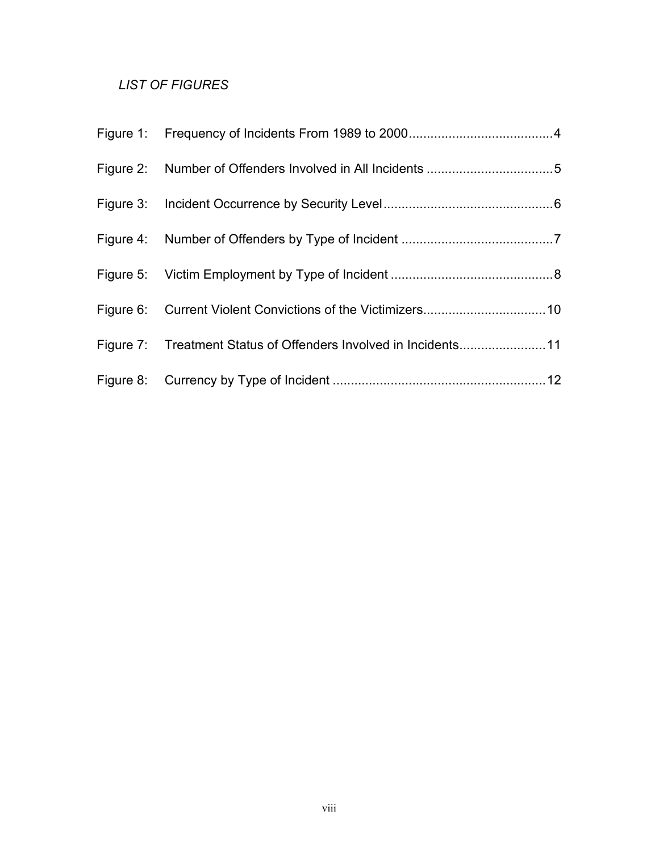## <span id="page-7-0"></span>*LIST OF FIGURES*

| Figure 7: Treatment Status of Offenders Involved in Incidents11 |  |
|-----------------------------------------------------------------|--|
|                                                                 |  |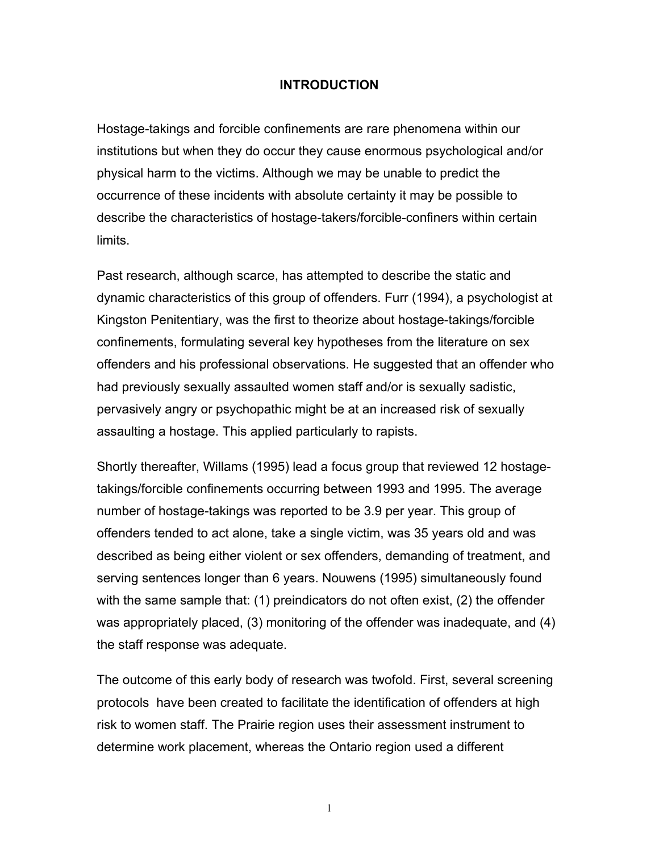#### <span id="page-8-0"></span>**INTRODUCTION**

Hostage-takings and forcible confinements are rare phenomena within our institutions but when they do occur they cause enormous psychological and/or physical harm to the victims. Although we may be unable to predict the occurrence of these incidents with absolute certainty it may be possible to describe the characteristics of hostage-takers/forcible-confiners within certain limits.

Past research, although scarce, has attempted to describe the static and dynamic characteristics of this group of offenders. Furr (1994), a psychologist at Kingston Penitentiary, was the first to theorize about hostage-takings/forcible confinements, formulating several key hypotheses from the literature on sex offenders and his professional observations. He suggested that an offender who had previously sexually assaulted women staff and/or is sexually sadistic, pervasively angry or psychopathic might be at an increased risk of sexually assaulting a hostage. This applied particularly to rapists.

Shortly thereafter, Willams (1995) lead a focus group that reviewed 12 hostagetakings/forcible confinements occurring between 1993 and 1995. The average number of hostage-takings was reported to be 3.9 per year. This group of offenders tended to act alone, take a single victim, was 35 years old and was described as being either violent or sex offenders, demanding of treatment, and serving sentences longer than 6 years. Nouwens (1995) simultaneously found with the same sample that: (1) preindicators do not often exist, (2) the offender was appropriately placed, (3) monitoring of the offender was inadequate, and (4) the staff response was adequate.

The outcome of this early body of research was twofold. First, several screening protocols have been created to facilitate the identification of offenders at high risk to women staff. The Prairie region uses their assessment instrument to determine work placement, whereas the Ontario region used a different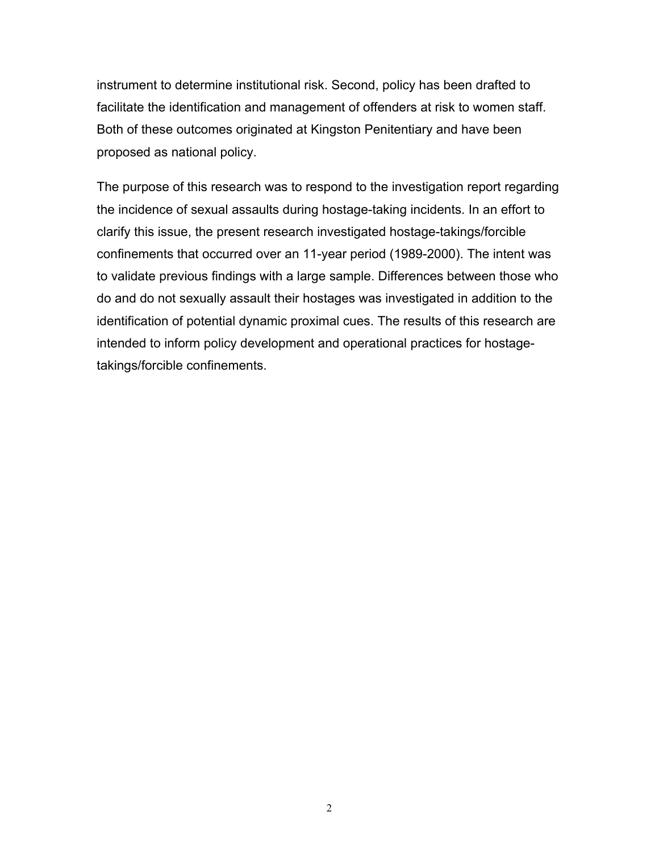instrument to determine institutional risk. Second, policy has been drafted to facilitate the identification and management of offenders at risk to women staff. Both of these outcomes originated at Kingston Penitentiary and have been proposed as national policy.

The purpose of this research was to respond to the investigation report regarding the incidence of sexual assaults during hostage-taking incidents. In an effort to clarify this issue, the present research investigated hostage-takings/forcible confinements that occurred over an 11-year period (1989-2000). The intent was to validate previous findings with a large sample. Differences between those who do and do not sexually assault their hostages was investigated in addition to the identification of potential dynamic proximal cues. The results of this research are intended to inform policy development and operational practices for hostagetakings/forcible confinements.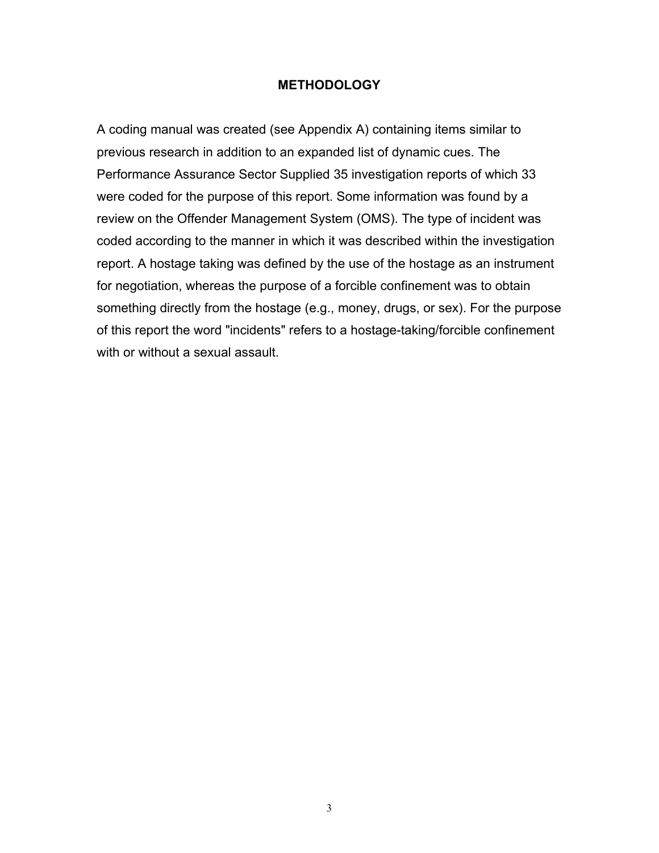#### <span id="page-10-0"></span>**METHODOLOGY**

A coding manual was created (see Appendix A) containing items similar to previous research in addition to an expanded list of dynamic cues. The Performance Assurance Sector Supplied 35 investigation reports of which 33 were coded for the purpose of this report. Some information was found by a review on the Offender Management System (OMS). The type of incident was coded according to the manner in which it was described within the investigation report. A hostage taking was defined by the use of the hostage as an instrument for negotiation, whereas the purpose of a forcible confinement was to obtain something directly from the hostage (e.g., money, drugs, or sex). For the purpose of this report the word "incidents" refers to a hostage-taking/forcible confinement with or without a sexual assault.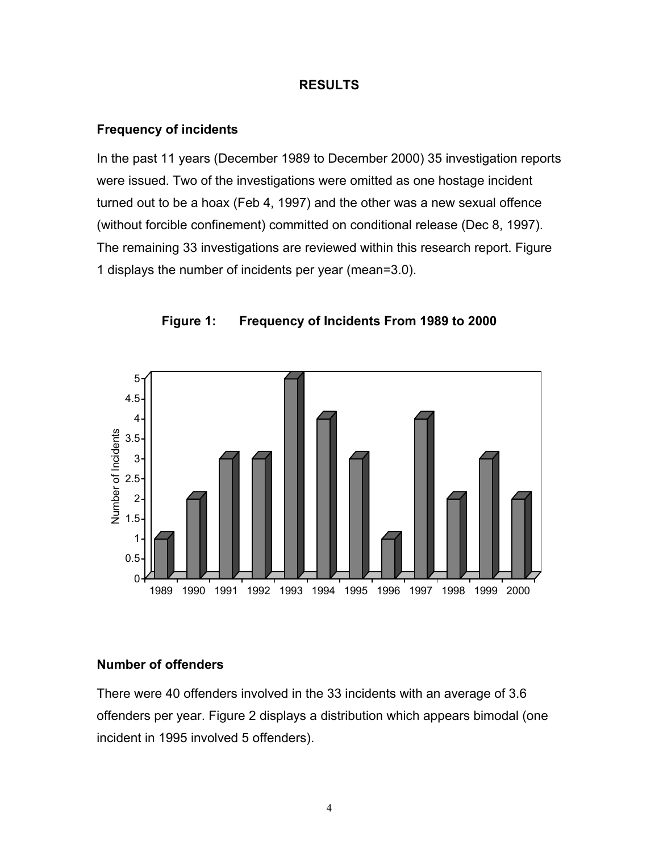#### <span id="page-11-0"></span>**RESULTS**

#### <span id="page-11-1"></span>**Frequency of incidents**

In the past 11 years (December 1989 to December 2000) 35 investigation reports were issued. Two of the investigations were omitted as one hostage incident turned out to be a hoax (Feb 4, 1997) and the other was a new sexual offence (without forcible confinement) committed on conditional release (Dec 8, 1997). The remaining 33 investigations are reviewed within this research report. Figure 1 displays the number of incidents per year (mean=3.0).



<span id="page-11-3"></span>**Figure 1: Frequency of Incidents From 1989 to 2000**

#### <span id="page-11-2"></span>**Number of offenders**

There were 40 offenders involved in the 33 incidents with an average of 3.6 offenders per year. Figure 2 displays a distribution which appears bimodal (one incident in 1995 involved 5 offenders).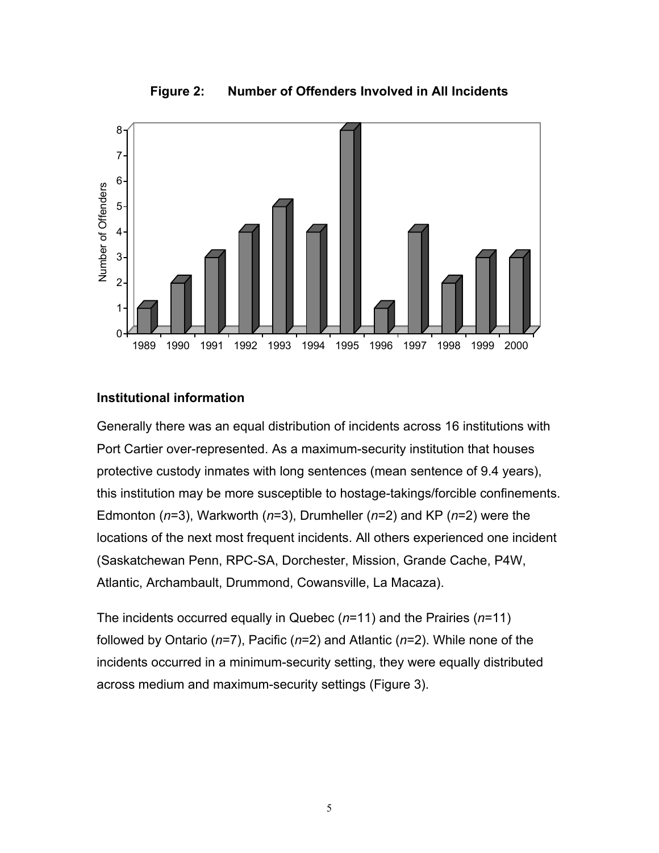

<span id="page-12-1"></span>**Figure 2: Number of Offenders Involved in All Incidents**

### <span id="page-12-0"></span>**Institutional information**

Generally there was an equal distribution of incidents across 16 institutions with Port Cartier over-represented. As a maximum-security institution that houses protective custody inmates with long sentences (mean sentence of 9.4 years), this institution may be more susceptible to hostage-takings/forcible confinements. Edmonton (*n*=3), Warkworth (*n*=3), Drumheller (*n*=2) and KP (*n*=2) were the locations of the next most frequent incidents. All others experienced one incident (Saskatchewan Penn, RPC-SA, Dorchester, Mission, Grande Cache, P4W, Atlantic, Archambault, Drummond, Cowansville, La Macaza).

The incidents occurred equally in Quebec (*n*=11) and the Prairies (*n*=11) followed by Ontario (*n*=7), Pacific (*n*=2) and Atlantic (*n*=2). While none of the incidents occurred in a minimum-security setting, they were equally distributed across medium and maximum-security settings (Figure 3).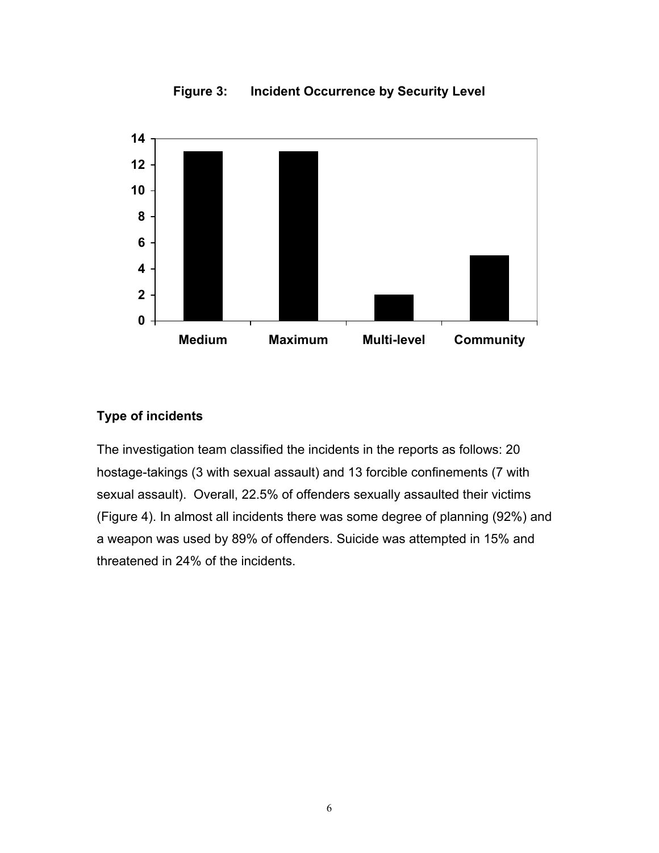

<span id="page-13-1"></span>**Figure 3: Incident Occurrence by Security Level**

## <span id="page-13-0"></span>**Type of incidents**

The investigation team classified the incidents in the reports as follows: 20 hostage-takings (3 with sexual assault) and 13 forcible confinements (7 with sexual assault). Overall, 22.5% of offenders sexually assaulted their victims (Figure 4). In almost all incidents there was some degree of planning (92%) and a weapon was used by 89% of offenders. Suicide was attempted in 15% and threatened in 24% of the incidents.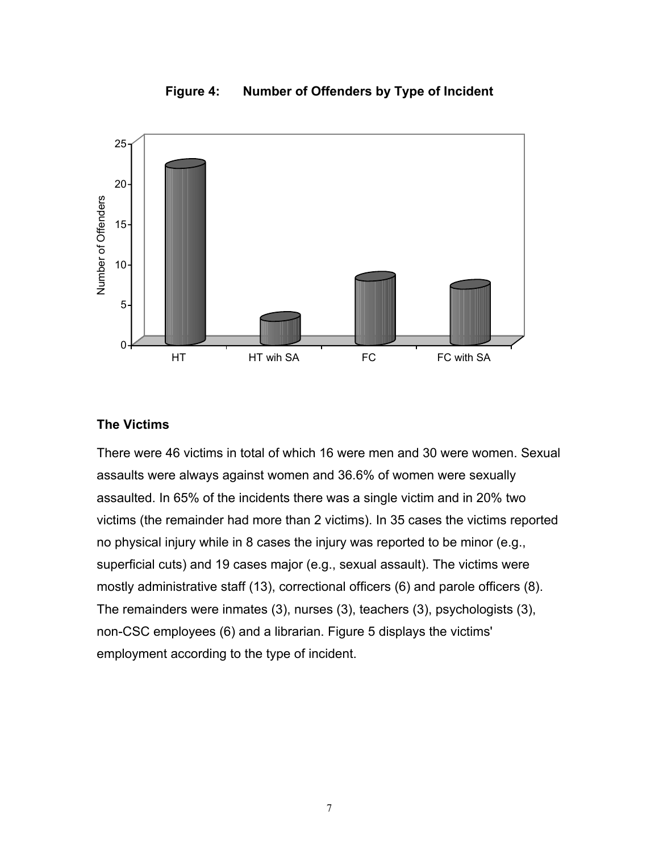

<span id="page-14-1"></span>**Figure 4: Number of Offenders by Type of Incident**

## <span id="page-14-0"></span>**The Victims**

There were 46 victims in total of which 16 were men and 30 were women. Sexual assaults were always against women and 36.6% of women were sexually assaulted. In 65% of the incidents there was a single victim and in 20% two victims (the remainder had more than 2 victims). In 35 cases the victims reported no physical injury while in 8 cases the injury was reported to be minor (e.g., superficial cuts) and 19 cases major (e.g., sexual assault). The victims were mostly administrative staff (13), correctional officers (6) and parole officers (8). The remainders were inmates (3), nurses (3), teachers (3), psychologists (3), non-CSC employees (6) and a librarian. Figure 5 displays the victims' employment according to the type of incident.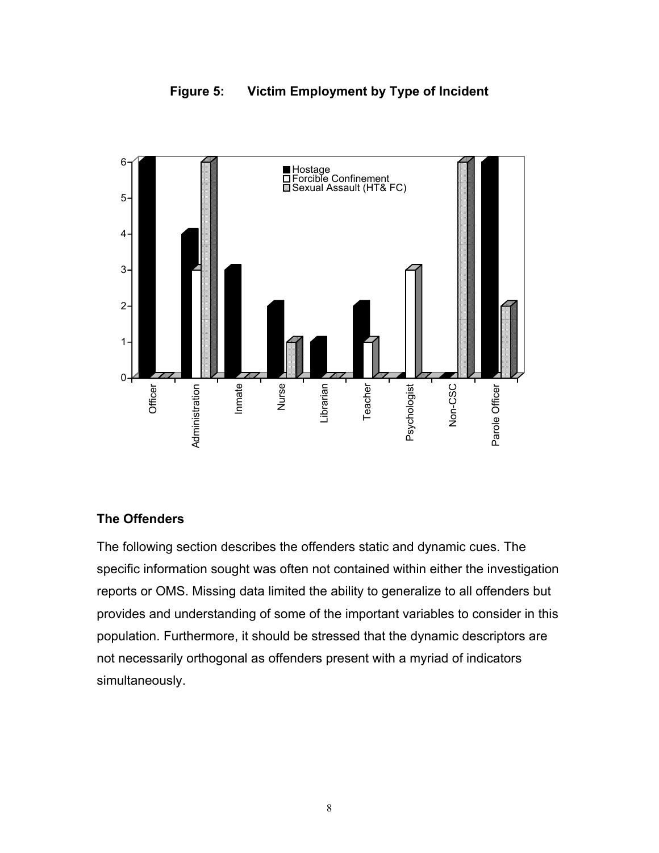<span id="page-15-1"></span>



#### <span id="page-15-0"></span>**The Offenders**

The following section describes the offenders static and dynamic cues. The specific information sought was often not contained within either the investigation reports or OMS. Missing data limited the ability to generalize to all offenders but provides and understanding of some of the important variables to consider in this population. Furthermore, it should be stressed that the dynamic descriptors are not necessarily orthogonal as offenders present with a myriad of indicators simultaneously.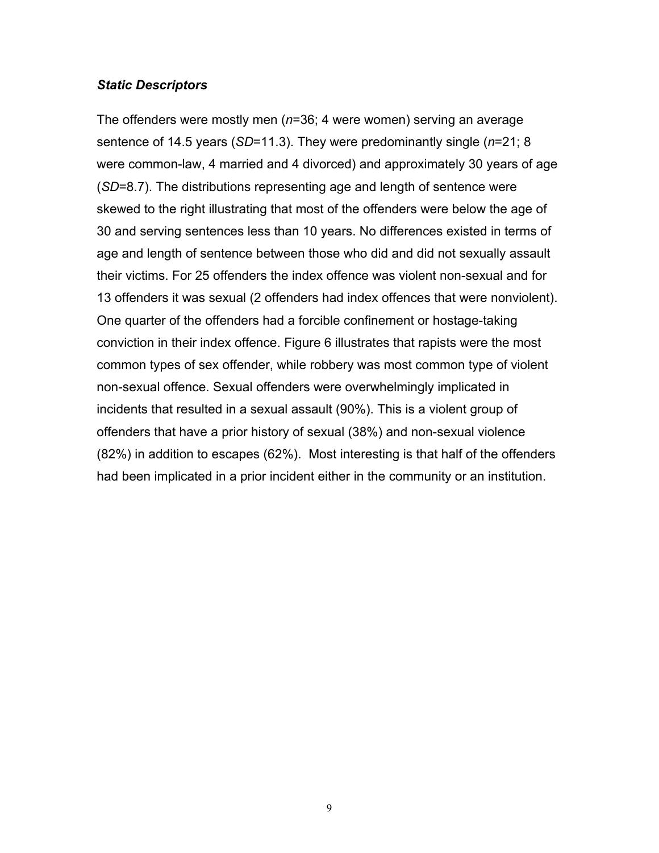#### <span id="page-16-0"></span>*Static Descriptors*

The offenders were mostly men (*n*=36; 4 were women) serving an average sentence of 14.5 years (*SD*=11.3). They were predominantly single (*n*=21; 8 were common-law, 4 married and 4 divorced) and approximately 30 years of age (*SD*=8.7). The distributions representing age and length of sentence were skewed to the right illustrating that most of the offenders were below the age of 30 and serving sentences less than 10 years. No differences existed in terms of age and length of sentence between those who did and did not sexually assault their victims. For 25 offenders the index offence was violent non-sexual and for 13 offenders it was sexual (2 offenders had index offences that were nonviolent). One quarter of the offenders had a forcible confinement or hostage-taking conviction in their index offence. Figure 6 illustrates that rapists were the most common types of sex offender, while robbery was most common type of violent non-sexual offence. Sexual offenders were overwhelmingly implicated in incidents that resulted in a sexual assault (90%). This is a violent group of offenders that have a prior history of sexual (38%) and non-sexual violence (82%) in addition to escapes (62%). Most interesting is that half of the offenders had been implicated in a prior incident either in the community or an institution.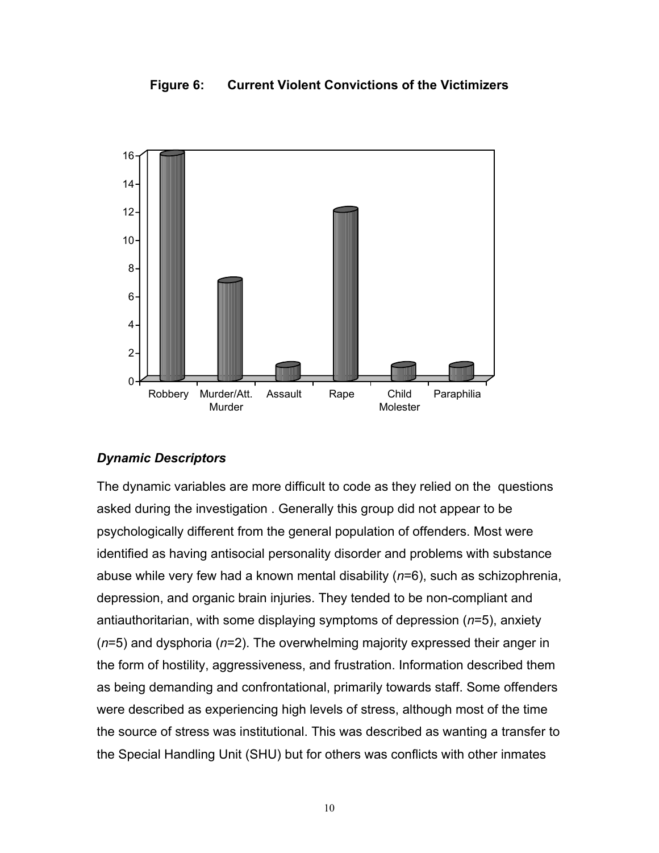#### <span id="page-17-1"></span>**Figure 6: Current Violent Convictions of the Victimizers**



#### <span id="page-17-0"></span>*Dynamic Descriptors*

The dynamic variables are more difficult to code as they relied on the questions asked during the investigation . Generally this group did not appear to be psychologically different from the general population of offenders. Most were identified as having antisocial personality disorder and problems with substance abuse while very few had a known mental disability (*n*=6), such as schizophrenia, depression, and organic brain injuries. They tended to be non-compliant and antiauthoritarian, with some displaying symptoms of depression (*n*=5), anxiety (*n*=5) and dysphoria (*n*=2). The overwhelming majority expressed their anger in the form of hostility, aggressiveness, and frustration. Information described them as being demanding and confrontational, primarily towards staff. Some offenders were described as experiencing high levels of stress, although most of the time the source of stress was institutional. This was described as wanting a transfer to the Special Handling Unit (SHU) but for others was conflicts with other inmates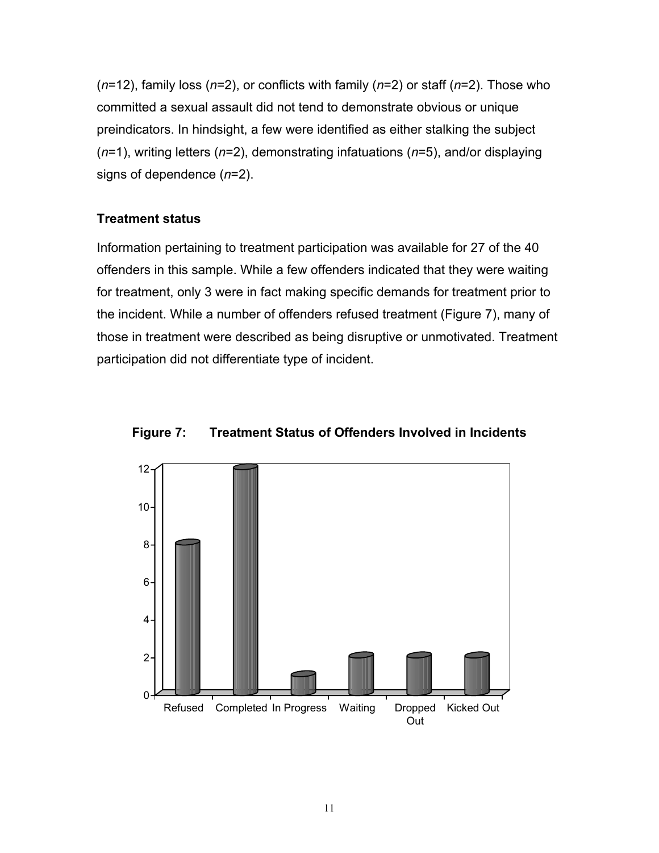(*n*=12), family loss (*n*=2), or conflicts with family (*n*=2) or staff (*n*=2). Those who committed a sexual assault did not tend to demonstrate obvious or unique preindicators. In hindsight, a few were identified as either stalking the subject (*n*=1), writing letters (*n*=2), demonstrating infatuations (*n*=5), and/or displaying signs of dependence (*n*=2).

## <span id="page-18-0"></span>**Treatment status**

Information pertaining to treatment participation was available for 27 of the 40 offenders in this sample. While a few offenders indicated that they were waiting for treatment, only 3 were in fact making specific demands for treatment prior to the incident. While a number of offenders refused treatment (Figure 7), many of those in treatment were described as being disruptive or unmotivated. Treatment participation did not differentiate type of incident.



<span id="page-18-1"></span>**Figure 7: Treatment Status of Offenders Involved in Incidents**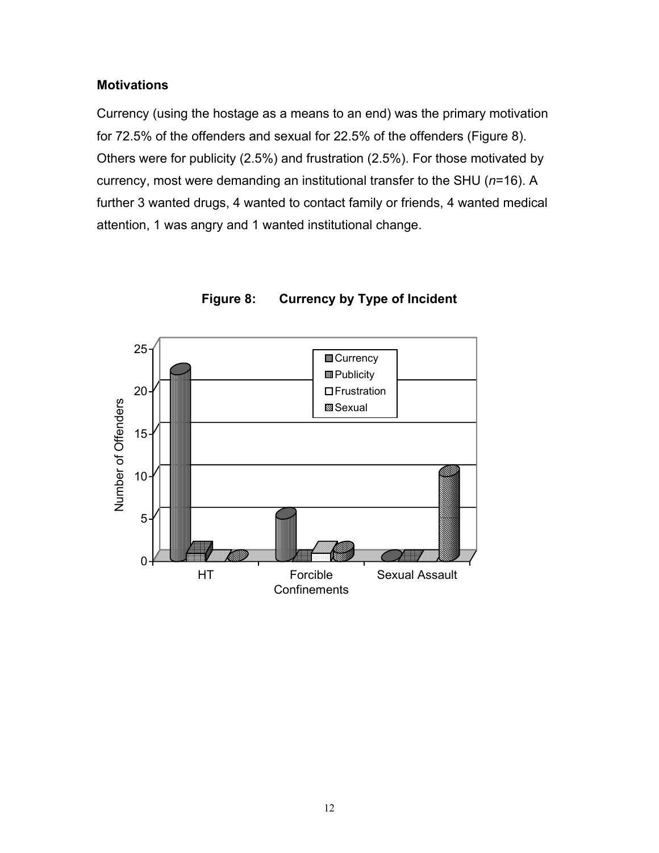#### <span id="page-19-0"></span>**Motivations**

Currency (using the hostage as a means to an end) was the primary motivation for 72.5% of the offenders and sexual for 22.5% of the offenders (Figure 8). Others were for publicity (2.5%) and frustration (2.5%). For those motivated by currency, most were demanding an institutional transfer to the SHU (*n*=16). A further 3 wanted drugs, 4 wanted to contact family or friends, 4 wanted medical attention, 1 was angry and 1 wanted institutional change.



<span id="page-19-1"></span>**Figure 8: Currency by Type of Incident**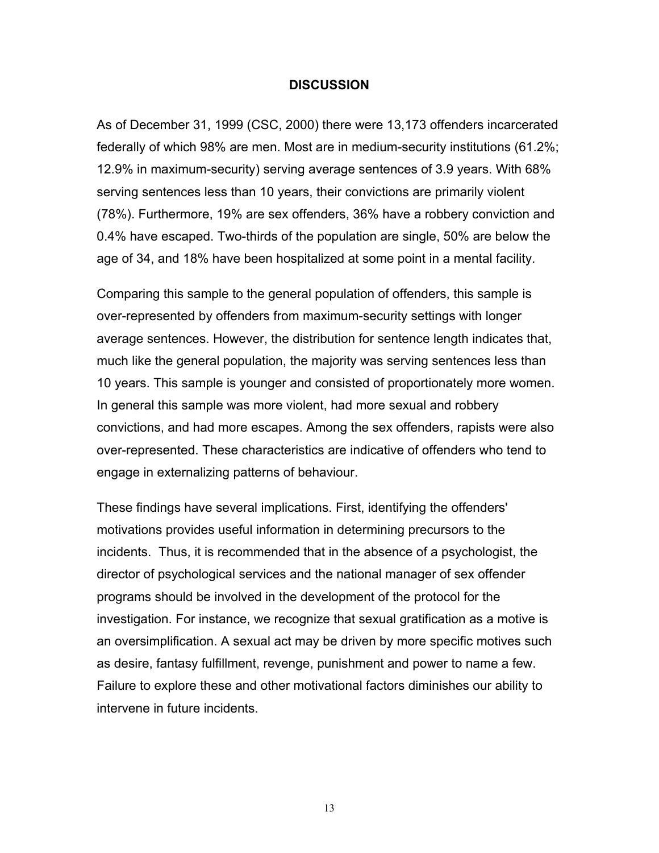#### <span id="page-20-0"></span>**DISCUSSION**

As of December 31, 1999 (CSC, 2000) there were 13,173 offenders incarcerated federally of which 98% are men. Most are in medium-security institutions (61.2%; 12.9% in maximum-security) serving average sentences of 3.9 years. With 68% serving sentences less than 10 years, their convictions are primarily violent (78%). Furthermore, 19% are sex offenders, 36% have a robbery conviction and 0.4% have escaped. Two-thirds of the population are single, 50% are below the age of 34, and 18% have been hospitalized at some point in a mental facility.

Comparing this sample to the general population of offenders, this sample is over-represented by offenders from maximum-security settings with longer average sentences. However, the distribution for sentence length indicates that, much like the general population, the majority was serving sentences less than 10 years. This sample is younger and consisted of proportionately more women. In general this sample was more violent, had more sexual and robbery convictions, and had more escapes. Among the sex offenders, rapists were also over-represented. These characteristics are indicative of offenders who tend to engage in externalizing patterns of behaviour.

These findings have several implications. First, identifying the offenders' motivations provides useful information in determining precursors to the incidents. Thus, it is recommended that in the absence of a psychologist, the director of psychological services and the national manager of sex offender programs should be involved in the development of the protocol for the investigation. For instance, we recognize that sexual gratification as a motive is an oversimplification. A sexual act may be driven by more specific motives such as desire, fantasy fulfillment, revenge, punishment and power to name a few. Failure to explore these and other motivational factors diminishes our ability to intervene in future incidents.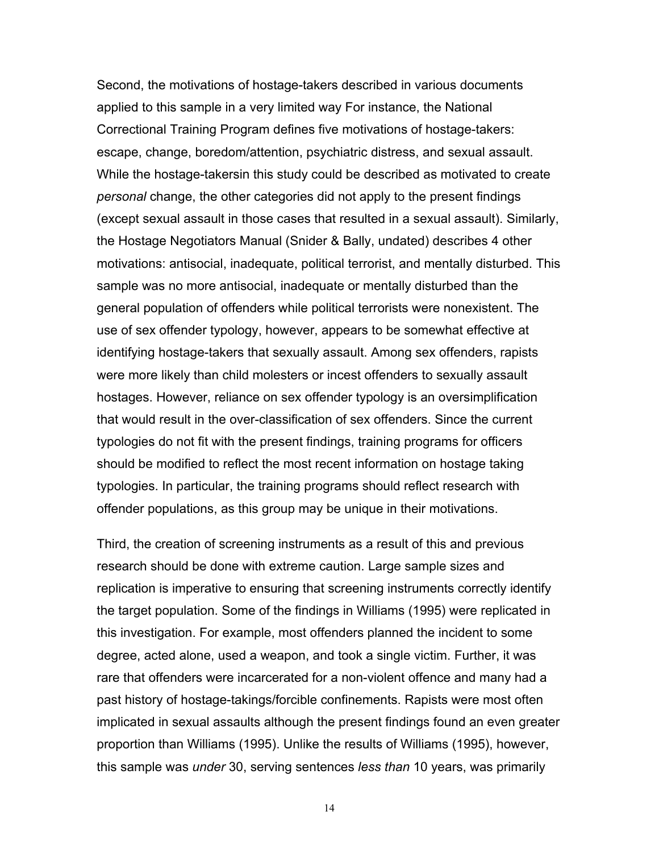Second, the motivations of hostage-takers described in various documents applied to this sample in a very limited way For instance, the National Correctional Training Program defines five motivations of hostage-takers: escape, change, boredom/attention, psychiatric distress, and sexual assault. While the hostage-takersin this study could be described as motivated to create *personal* change, the other categories did not apply to the present findings (except sexual assault in those cases that resulted in a sexual assault). Similarly, the Hostage Negotiators Manual (Snider & Bally, undated) describes 4 other motivations: antisocial, inadequate, political terrorist, and mentally disturbed. This sample was no more antisocial, inadequate or mentally disturbed than the general population of offenders while political terrorists were nonexistent. The use of sex offender typology, however, appears to be somewhat effective at identifying hostage-takers that sexually assault. Among sex offenders, rapists were more likely than child molesters or incest offenders to sexually assault hostages. However, reliance on sex offender typology is an oversimplification that would result in the over-classification of sex offenders. Since the current typologies do not fit with the present findings, training programs for officers should be modified to reflect the most recent information on hostage taking typologies. In particular, the training programs should reflect research with offender populations, as this group may be unique in their motivations.

Third, the creation of screening instruments as a result of this and previous research should be done with extreme caution. Large sample sizes and replication is imperative to ensuring that screening instruments correctly identify the target population. Some of the findings in Williams (1995) were replicated in this investigation. For example, most offenders planned the incident to some degree, acted alone, used a weapon, and took a single victim. Further, it was rare that offenders were incarcerated for a non-violent offence and many had a past history of hostage-takings/forcible confinements. Rapists were most often implicated in sexual assaults although the present findings found an even greater proportion than Williams (1995). Unlike the results of Williams (1995), however, this sample was *under* 30, serving sentences *less than* 10 years, was primarily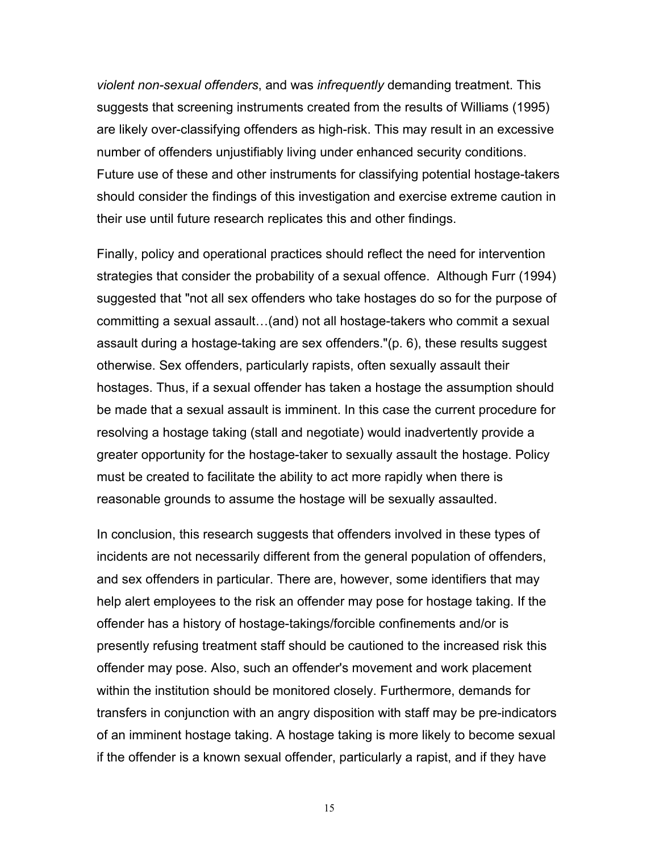*violent non-sexual offenders*, and was *infrequently* demanding treatment. This suggests that screening instruments created from the results of Williams (1995) are likely over-classifying offenders as high-risk. This may result in an excessive number of offenders unjustifiably living under enhanced security conditions. Future use of these and other instruments for classifying potential hostage-takers should consider the findings of this investigation and exercise extreme caution in their use until future research replicates this and other findings.

Finally, policy and operational practices should reflect the need for intervention strategies that consider the probability of a sexual offence. Although Furr (1994) suggested that "not all sex offenders who take hostages do so for the purpose of committing a sexual assault…(and) not all hostage-takers who commit a sexual assault during a hostage-taking are sex offenders."(p. 6), these results suggest otherwise. Sex offenders, particularly rapists, often sexually assault their hostages. Thus, if a sexual offender has taken a hostage the assumption should be made that a sexual assault is imminent. In this case the current procedure for resolving a hostage taking (stall and negotiate) would inadvertently provide a greater opportunity for the hostage-taker to sexually assault the hostage. Policy must be created to facilitate the ability to act more rapidly when there is reasonable grounds to assume the hostage will be sexually assaulted.

In conclusion, this research suggests that offenders involved in these types of incidents are not necessarily different from the general population of offenders, and sex offenders in particular. There are, however, some identifiers that may help alert employees to the risk an offender may pose for hostage taking. If the offender has a history of hostage-takings/forcible confinements and/or is presently refusing treatment staff should be cautioned to the increased risk this offender may pose. Also, such an offender's movement and work placement within the institution should be monitored closely. Furthermore, demands for transfers in conjunction with an angry disposition with staff may be pre-indicators of an imminent hostage taking. A hostage taking is more likely to become sexual if the offender is a known sexual offender, particularly a rapist, and if they have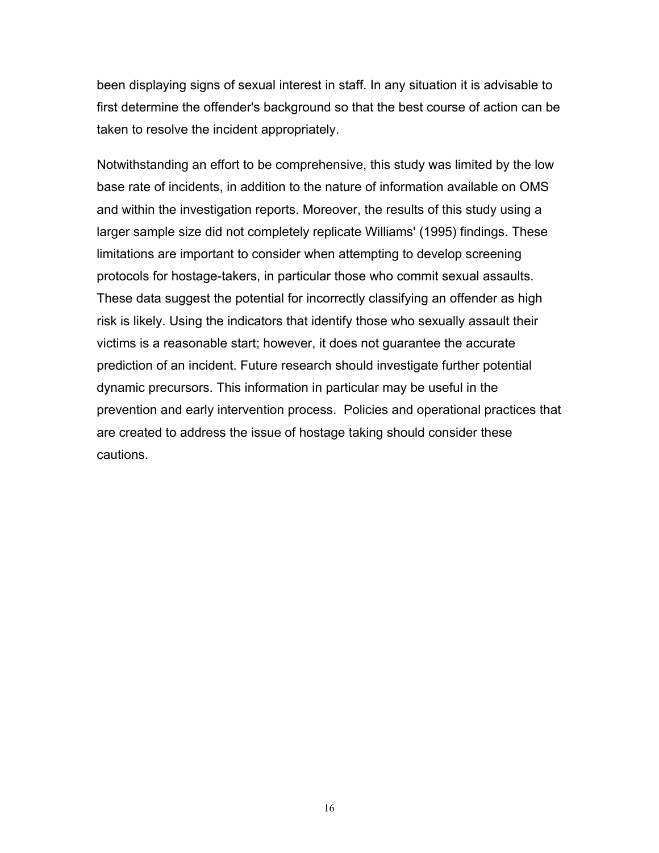been displaying signs of sexual interest in staff. In any situation it is advisable to first determine the offender's background so that the best course of action can be taken to resolve the incident appropriately.

Notwithstanding an effort to be comprehensive, this study was limited by the low base rate of incidents, in addition to the nature of information available on OMS and within the investigation reports. Moreover, the results of this study using a larger sample size did not completely replicate Williams' (1995) findings. These limitations are important to consider when attempting to develop screening protocols for hostage-takers, in particular those who commit sexual assaults. These data suggest the potential for incorrectly classifying an offender as high risk is likely. Using the indicators that identify those who sexually assault their victims is a reasonable start; however, it does not guarantee the accurate prediction of an incident. Future research should investigate further potential dynamic precursors. This information in particular may be useful in the prevention and early intervention process. Policies and operational practices that are created to address the issue of hostage taking should consider these cautions.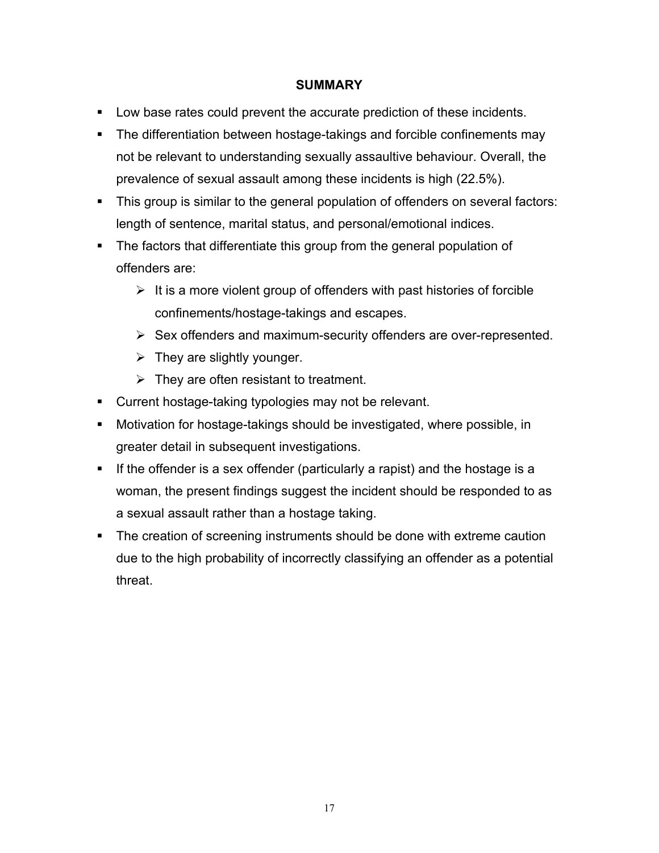#### <span id="page-24-0"></span>**SUMMARY**

- Low base rates could prevent the accurate prediction of these incidents.
- **The differentiation between hostage-takings and forcible confinements may** not be relevant to understanding sexually assaultive behaviour. Overall, the prevalence of sexual assault among these incidents is high (22.5%).
- This group is similar to the general population of offenders on several factors: length of sentence, marital status, and personal/emotional indices.
- The factors that differentiate this group from the general population of offenders are:
	- $\triangleright$  It is a more violent group of offenders with past histories of forcible confinements/hostage-takings and escapes.
	- $\triangleright$  Sex offenders and maximum-security offenders are over-represented.
	- $\triangleright$  They are slightly younger.
	- $\triangleright$  They are often resistant to treatment.
- **Current hostage-taking typologies may not be relevant.**
- Motivation for hostage-takings should be investigated, where possible, in greater detail in subsequent investigations.
- If the offender is a sex offender (particularly a rapist) and the hostage is a woman, the present findings suggest the incident should be responded to as a sexual assault rather than a hostage taking.
- The creation of screening instruments should be done with extreme caution due to the high probability of incorrectly classifying an offender as a potential threat.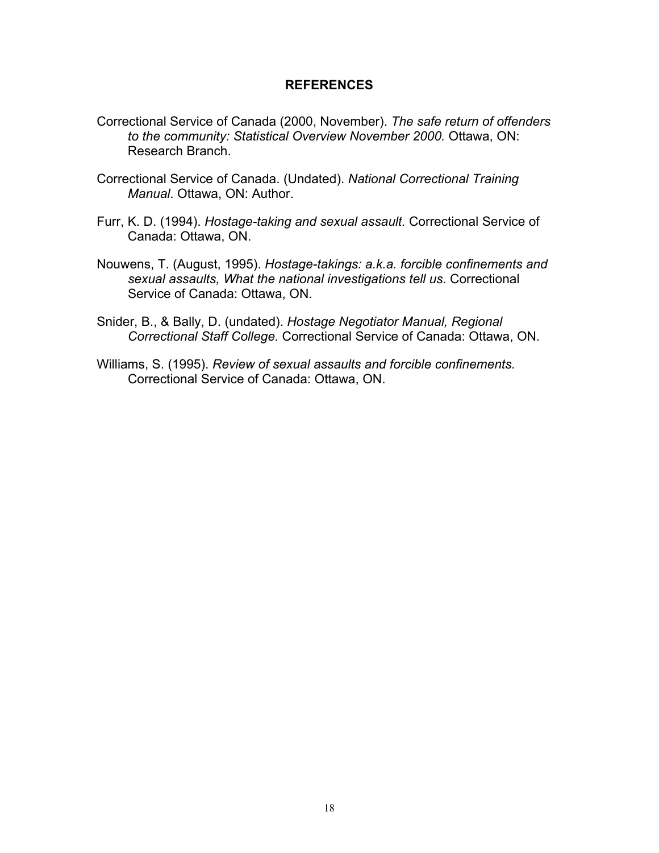#### <span id="page-25-0"></span>**REFERENCES**

- Correctional Service of Canada (2000, November). *The safe return of offenders to the community: Statistical Overview November 2000.* Ottawa, ON: Research Branch.
- Correctional Service of Canada. (Undated). *National Correctional Training Manual*. Ottawa, ON: Author.
- Furr, K. D. (1994). *Hostage-taking and sexual assault.* Correctional Service of Canada: Ottawa, ON.
- Nouwens, T. (August, 1995). *Hostage-takings: a.k.a. forcible confinements and sexual assaults, What the national investigations tell us.* Correctional Service of Canada: Ottawa, ON.
- Snider, B., & Bally, D. (undated). *Hostage Negotiator Manual, Regional Correctional Staff College.* Correctional Service of Canada: Ottawa, ON.
- Williams, S. (1995). *Review of sexual assaults and forcible confinements.* Correctional Service of Canada: Ottawa, ON.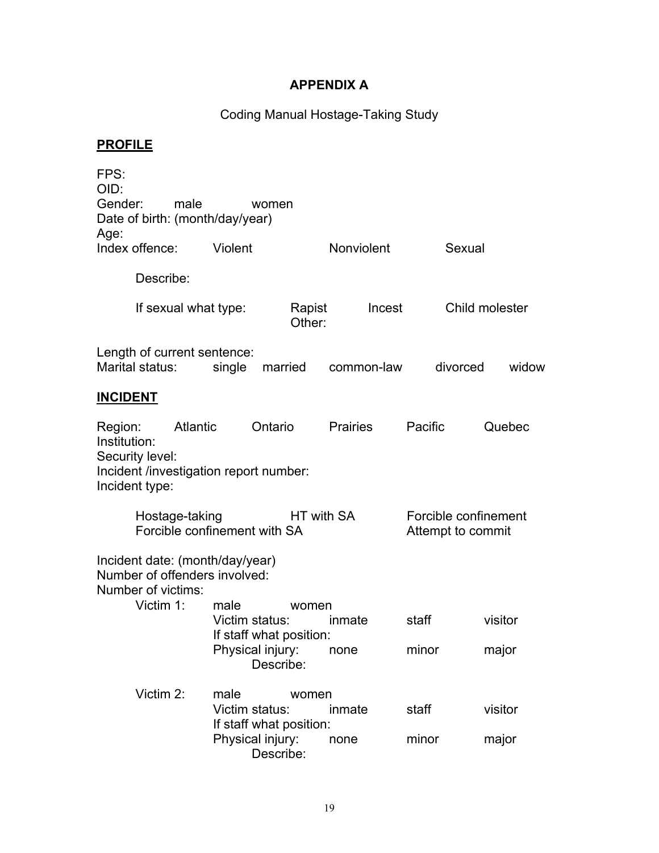## <span id="page-26-0"></span>**APPENDIX A**

## Coding Manual Hostage-Taking Study

# **PROFILE**

| FPS:<br>OID:                                                                                                       |                                            |                                                           |                 |                                           |                  |
|--------------------------------------------------------------------------------------------------------------------|--------------------------------------------|-----------------------------------------------------------|-----------------|-------------------------------------------|------------------|
| Gender:<br>male<br>Date of birth: (month/day/year)                                                                 |                                            | women                                                     |                 |                                           |                  |
| Age:<br>Index offence:                                                                                             | Violent                                    |                                                           | Nonviolent      | Sexual                                    |                  |
| Describe:                                                                                                          |                                            |                                                           |                 |                                           |                  |
| If sexual what type:                                                                                               |                                            | Rapist<br>Other:                                          | Incest          |                                           | Child molester   |
| Length of current sentence:<br>Marital status:                                                                     | single                                     | married                                                   | common-law      | divorced                                  | widow            |
| <b>INCIDENT</b>                                                                                                    |                                            |                                                           |                 |                                           |                  |
| Region:<br>Atlantic<br>Institution:<br>Security level:<br>Incident /investigation report number:<br>Incident type: |                                            | Ontario                                                   | <b>Prairies</b> | Pacific                                   | Quebec           |
| Hostage-taking<br>Forcible confinement with SA                                                                     |                                            | HT with SA                                                |                 | Forcible confinement<br>Attempt to commit |                  |
| Incident date: (month/day/year)<br>Number of offenders involved:<br>Number of victims:<br>Victim 1:                | male<br>Victim status:                     | women<br>If staff what position:<br>Physical injury: none | inmate          | staff<br>minor                            | visitor<br>major |
|                                                                                                                    |                                            | Describe:                                                 |                 |                                           |                  |
| Victim 2:                                                                                                          | male<br>Victim status:<br>Physical injury: | women<br>If staff what position:<br>Describe:             | inmate<br>none  | staff<br>minor                            | visitor<br>major |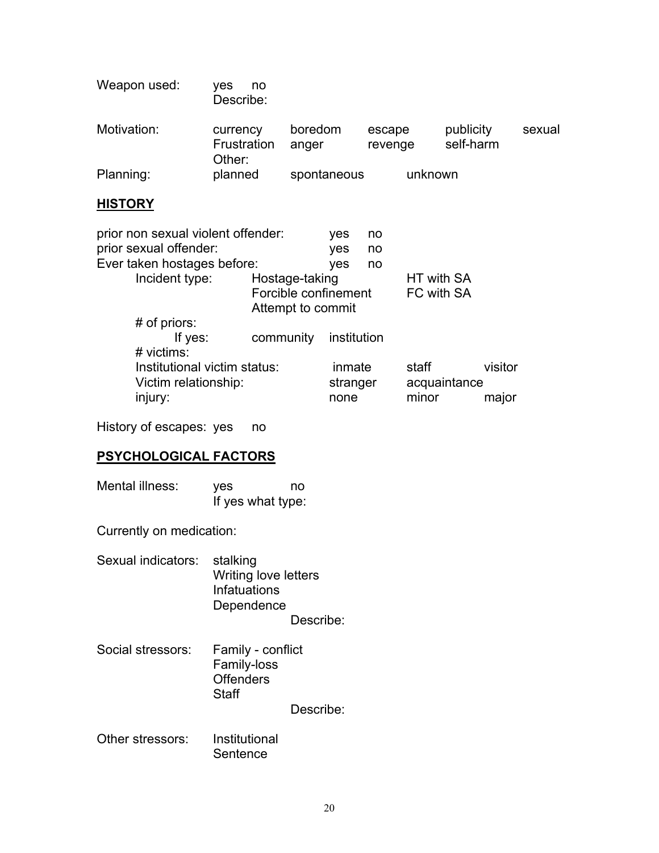| Weapon used: | ves<br>no<br>Describe:            |                  |                   |                        |        |
|--------------|-----------------------------------|------------------|-------------------|------------------------|--------|
| Motivation:  | currency<br>Frustration<br>Other: | boredom<br>anger | escape<br>revenge | publicity<br>self-harm | sexual |
| Planning:    | planned                           | spontaneous      | unknown           |                        |        |

## **HISTORY**

| prior non sexual violent offender:                   |                      |             | no       |              |         |
|------------------------------------------------------|----------------------|-------------|----------|--------------|---------|
| prior sexual offender:                               | yes                  | no          |          |              |         |
| Ever taken hostages before:                          |                      | yes         | no       |              |         |
| Incident type:                                       | Hostage-taking       |             |          | HT with SA   |         |
|                                                      | Forcible confinement |             |          | FC with SA   |         |
|                                                      | Attempt to commit    |             |          |              |         |
| $#$ of priors:                                       |                      |             |          |              |         |
| If yes:                                              | community            | institution |          |              |         |
| # victims:                                           |                      |             |          |              |         |
| Institutional victim status:<br>Victim relationship: |                      |             | inmate   | staff        | visitor |
|                                                      |                      |             | stranger | acquaintance |         |
| injury:                                              |                      | none        |          | minor        | major   |
|                                                      |                      |             |          |              |         |

History of escapes: yes no

## **PSYCHOLOGICAL FACTORS**

| Mental illness: | ves               | no |
|-----------------|-------------------|----|
|                 | If yes what type: |    |

Currently on medication:

| Sexual indicators: stalking |                             |
|-----------------------------|-----------------------------|
|                             | <b>Writing love letters</b> |
|                             | Infatuations                |
|                             | Dependence                  |
|                             | Describe:                   |

Social stressors: Family - conflict Family-loss **Offenders Staff** 

Describe:

Other stressors: Institutional **Sentence**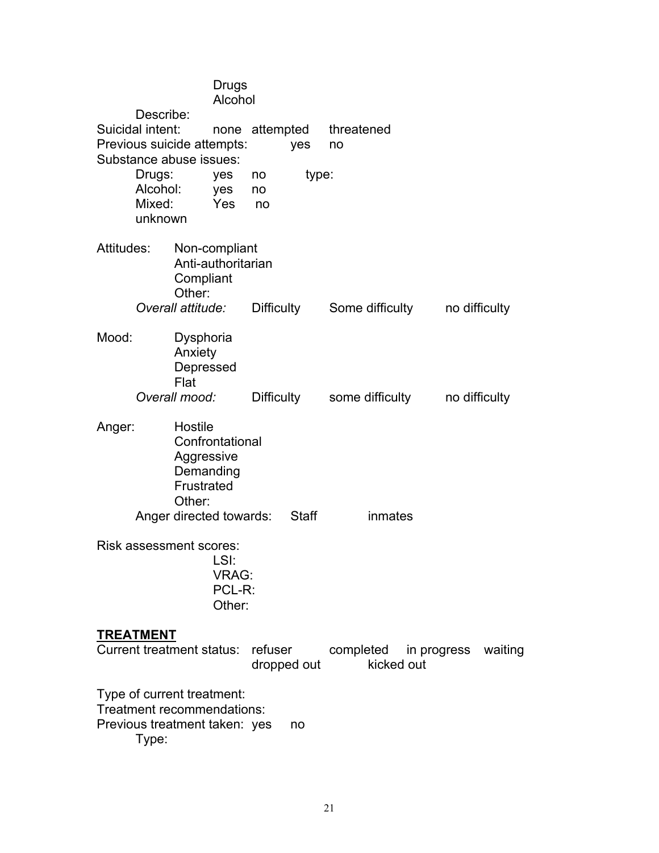|                                                                                                                                   |                  |                                                            | Drugs<br>Alcohol                                            |                   |                                             |           |                 |             |               |  |
|-----------------------------------------------------------------------------------------------------------------------------------|------------------|------------------------------------------------------------|-------------------------------------------------------------|-------------------|---------------------------------------------|-----------|-----------------|-------------|---------------|--|
| Describe:<br>Suicidal intent:<br>Previous suicide attempts:<br>Substance abuse issues:<br>Drugs:<br>Alcohol:<br>Mixed:<br>unknown |                  |                                                            |                                                             | yes               | none attempted threatened<br>no             |           |                 |             |               |  |
|                                                                                                                                   |                  | yes<br>yes<br>Yes                                          | type:<br>no<br>no<br>no no                                  |                   |                                             |           |                 |             |               |  |
|                                                                                                                                   | Attitudes:       | Compliant<br>Other:                                        | Non-compliant<br>Anti-authoritarian                         |                   |                                             |           |                 |             |               |  |
|                                                                                                                                   |                  | Overall attitude:                                          |                                                             | <b>Difficulty</b> |                                             |           | Some difficulty |             | no difficulty |  |
| Mood:                                                                                                                             |                  | Dysphoria<br>Anxiety<br>Depressed<br>Flat                  |                                                             |                   |                                             |           |                 |             |               |  |
| Overall mood:                                                                                                                     |                  |                                                            |                                                             |                   | Difficulty some difficulty<br>no difficulty |           |                 |             |               |  |
| Anger:                                                                                                                            |                  | Hostile<br>Aggressive<br>Demanding<br>Frustrated<br>Other: | Confrontational                                             |                   |                                             |           |                 |             |               |  |
|                                                                                                                                   |                  |                                                            | Anger directed towards:                                     |                   | <b>Staff</b>                                |           | inmates         |             |               |  |
| Risk assessment scores:<br>LSI:<br><b>VRAG:</b><br>PCL-R:<br>Other:                                                               |                  |                                                            |                                                             |                   |                                             |           |                 |             |               |  |
|                                                                                                                                   | <b>TREATMENT</b> | <b>Current treatment status:</b>                           |                                                             | refuser           | dropped out                                 | completed | kicked out      | in progress | waiting       |  |
|                                                                                                                                   |                  | Type of current treatment:                                 | Treatment recommendations:<br>Previous treatment taken: yes |                   | no                                          |           |                 |             |               |  |

Type: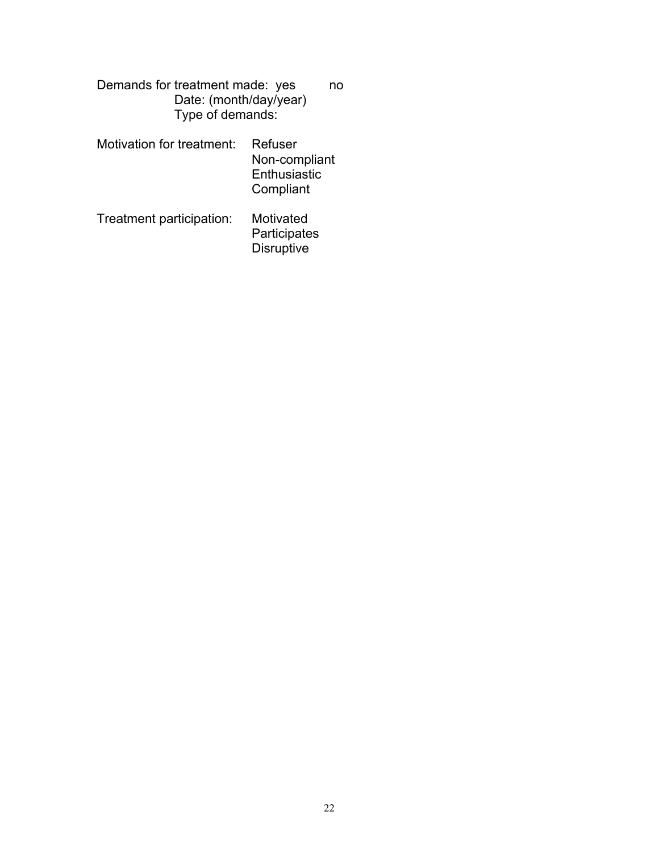Demands for treatment made: yes no Date: (month/day/year) Type of demands:

- Motivation for treatment: Refuser Non-compliant **Enthusiastic Compliant**
- Treatment participation: Motivated **Participates Disruptive**